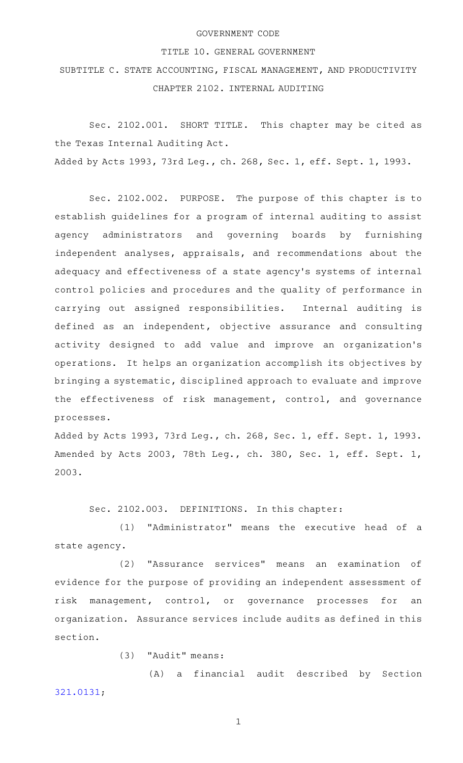## GOVERNMENT CODE

## TITLE 10. GENERAL GOVERNMENT

SUBTITLE C. STATE ACCOUNTING, FISCAL MANAGEMENT, AND PRODUCTIVITY CHAPTER 2102. INTERNAL AUDITING

Sec. 2102.001. SHORT TITLE. This chapter may be cited as the Texas Internal Auditing Act. Added by Acts 1993, 73rd Leg., ch. 268, Sec. 1, eff. Sept. 1, 1993.

Sec. 2102.002. PURPOSE. The purpose of this chapter is to establish guidelines for a program of internal auditing to assist agency administrators and governing boards by furnishing independent analyses, appraisals, and recommendations about the adequacy and effectiveness of a state agency 's systems of internal control policies and procedures and the quality of performance in carrying out assigned responsibilities. Internal auditing is defined as an independent, objective assurance and consulting activity designed to add value and improve an organization 's operations. It helps an organization accomplish its objectives by bringing a systematic, disciplined approach to evaluate and improve the effectiveness of risk management, control, and governance processes.

Added by Acts 1993, 73rd Leg., ch. 268, Sec. 1, eff. Sept. 1, 1993. Amended by Acts 2003, 78th Leg., ch. 380, Sec. 1, eff. Sept. 1, 2003.

Sec. 2102.003. DEFINITIONS. In this chapter:

(1) "Administrator" means the executive head of a state agency.

(2) "Assurance services" means an examination of evidence for the purpose of providing an independent assessment of risk management, control, or governance processes for an organization. Assurance services include audits as defined in this section.

 $(3)$  "Audit" means:

(A) a financial audit described by Section [321.0131](http://www.statutes.legis.state.tx.us/GetStatute.aspx?Code=GV&Value=321.0131);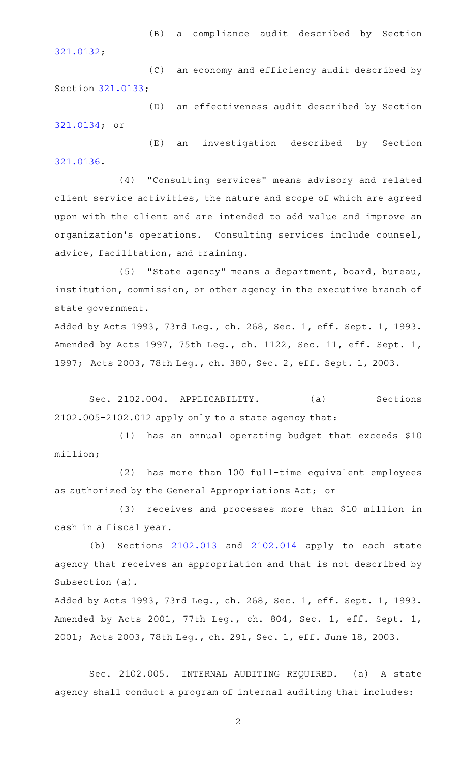(B) a compliance audit described by Section [321.0132](http://www.statutes.legis.state.tx.us/GetStatute.aspx?Code=GV&Value=321.0132);

(C) an economy and efficiency audit described by Section [321.0133](http://www.statutes.legis.state.tx.us/GetStatute.aspx?Code=GV&Value=321.0133);

(D) an effectiveness audit described by Section [321.0134](http://www.statutes.legis.state.tx.us/GetStatute.aspx?Code=GV&Value=321.0134); or

(E) an investigation described by Section [321.0136](http://www.statutes.legis.state.tx.us/GetStatute.aspx?Code=GV&Value=321.0136).

(4) "Consulting services" means advisory and related client service activities, the nature and scope of which are agreed upon with the client and are intended to add value and improve an organization 's operations. Consulting services include counsel, advice, facilitation, and training.

(5) "State agency" means a department, board, bureau, institution, commission, or other agency in the executive branch of state government.

Added by Acts 1993, 73rd Leg., ch. 268, Sec. 1, eff. Sept. 1, 1993. Amended by Acts 1997, 75th Leg., ch. 1122, Sec. 11, eff. Sept. 1, 1997; Acts 2003, 78th Leg., ch. 380, Sec. 2, eff. Sept. 1, 2003.

Sec. 2102.004. APPLICABILITY. (a) Sections 2102.005-2102.012 apply only to a state agency that:

(1) has an annual operating budget that exceeds \$10 million;

(2) has more than 100 full-time equivalent employees as authorized by the General Appropriations Act; or

(3) receives and processes more than \$10 million in cash in a fiscal year.

(b) Sections  $2102.013$  and  $2102.014$  apply to each state agency that receives an appropriation and that is not described by Subsection (a).

Added by Acts 1993, 73rd Leg., ch. 268, Sec. 1, eff. Sept. 1, 1993. Amended by Acts 2001, 77th Leg., ch. 804, Sec. 1, eff. Sept. 1, 2001; Acts 2003, 78th Leg., ch. 291, Sec. 1, eff. June 18, 2003.

Sec. 2102.005. INTERNAL AUDITING REQUIRED. (a) A state agency shall conduct a program of internal auditing that includes: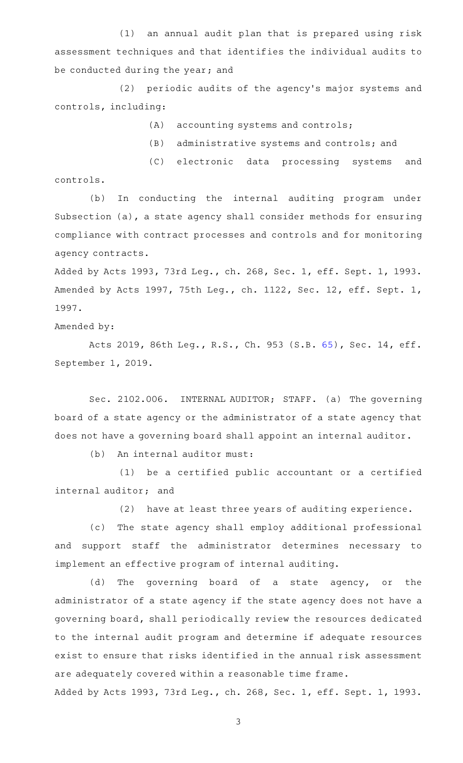$(1)$  an annual audit plan that is prepared using risk assessment techniques and that identifies the individual audits to be conducted during the year; and

(2) periodic audits of the agency's major systems and controls, including:

- $(A)$  accounting systems and controls;
- (B) administrative systems and controls; and

(C) electronic data processing systems and controls.

(b) In conducting the internal auditing program under Subsection (a), a state agency shall consider methods for ensuring compliance with contract processes and controls and for monitoring agency contracts.

Added by Acts 1993, 73rd Leg., ch. 268, Sec. 1, eff. Sept. 1, 1993. Amended by Acts 1997, 75th Leg., ch. 1122, Sec. 12, eff. Sept. 1, 1997.

Amended by:

Acts 2019, 86th Leg., R.S., Ch. 953 (S.B. [65\)](http://www.legis.state.tx.us/tlodocs/86R/billtext/html/SB00065F.HTM), Sec. 14, eff. September 1, 2019.

Sec. 2102.006. INTERNAL AUDITOR; STAFF. (a) The governing board of a state agency or the administrator of a state agency that does not have a governing board shall appoint an internal auditor.

(b) An internal auditor must:

 $(1)$  be a certified public accountant or a certified internal auditor; and

 $(2)$  have at least three years of auditing experience.

(c) The state agency shall employ additional professional and support staff the administrator determines necessary to implement an effective program of internal auditing.

(d) The governing board of a state agency, or the administrator of a state agency if the state agency does not have a governing board, shall periodically review the resources dedicated to the internal audit program and determine if adequate resources exist to ensure that risks identified in the annual risk assessment are adequately covered within a reasonable time frame.

Added by Acts 1993, 73rd Leg., ch. 268, Sec. 1, eff. Sept. 1, 1993.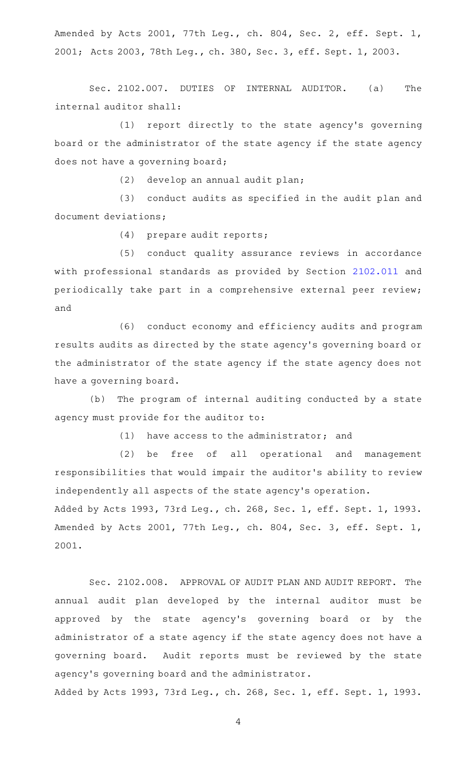Amended by Acts 2001, 77th Leg., ch. 804, Sec. 2, eff. Sept. 1, 2001; Acts 2003, 78th Leg., ch. 380, Sec. 3, eff. Sept. 1, 2003.

Sec. 2102.007. DUTIES OF INTERNAL AUDITOR. (a) The internal auditor shall:

(1) report directly to the state agency's governing board or the administrator of the state agency if the state agency does not have a governing board;

 $(2)$  develop an annual audit plan;

(3) conduct audits as specified in the audit plan and document deviations;

(4) prepare audit reports;

(5) conduct quality assurance reviews in accordance with professional standards as provided by Section [2102.011](http://www.statutes.legis.state.tx.us/GetStatute.aspx?Code=GV&Value=2102.011) and periodically take part in a comprehensive external peer review; and

(6) conduct economy and efficiency audits and program results audits as directed by the state agency 's governing board or the administrator of the state agency if the state agency does not have a governing board.

(b) The program of internal auditing conducted by a state agency must provide for the auditor to:

 $(1)$  have access to the administrator; and

(2) be free of all operational and management responsibilities that would impair the auditor 's ability to review independently all aspects of the state agency 's operation. Added by Acts 1993, 73rd Leg., ch. 268, Sec. 1, eff. Sept. 1, 1993. Amended by Acts 2001, 77th Leg., ch. 804, Sec. 3, eff. Sept. 1, 2001.

Sec. 2102.008. APPROVAL OF AUDIT PLAN AND AUDIT REPORT. The annual audit plan developed by the internal auditor must be approved by the state agency 's governing board or by the administrator of a state agency if the state agency does not have a governing board. Audit reports must be reviewed by the state agency 's governing board and the administrator.

Added by Acts 1993, 73rd Leg., ch. 268, Sec. 1, eff. Sept. 1, 1993.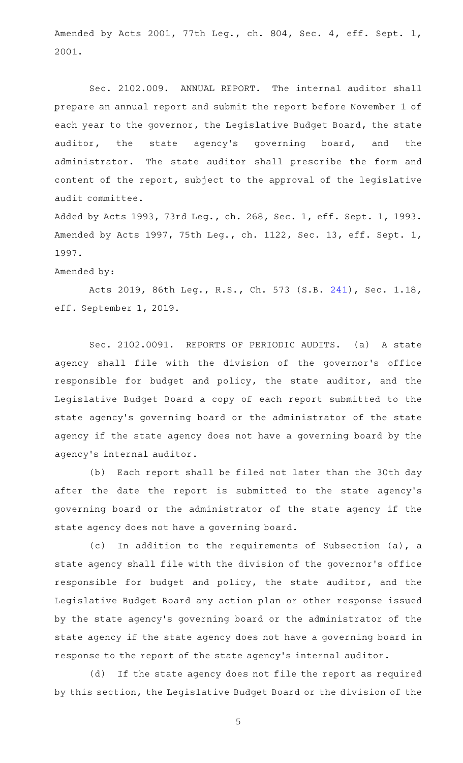Amended by Acts 2001, 77th Leg., ch. 804, Sec. 4, eff. Sept. 1, 2001.

Sec. 2102.009. ANNUAL REPORT. The internal auditor shall prepare an annual report and submit the report before November 1 of each year to the governor, the Legislative Budget Board, the state auditor, the state agency's governing board, and the administrator. The state auditor shall prescribe the form and content of the report, subject to the approval of the legislative audit committee.

Added by Acts 1993, 73rd Leg., ch. 268, Sec. 1, eff. Sept. 1, 1993. Amended by Acts 1997, 75th Leg., ch. 1122, Sec. 13, eff. Sept. 1, 1997.

Amended by:

Acts 2019, 86th Leg., R.S., Ch. 573 (S.B. [241](http://www.legis.state.tx.us/tlodocs/86R/billtext/html/SB00241F.HTM)), Sec. 1.18, eff. September 1, 2019.

Sec. 2102.0091. REPORTS OF PERIODIC AUDITS. (a) A state agency shall file with the division of the governor 's office responsible for budget and policy, the state auditor, and the Legislative Budget Board a copy of each report submitted to the state agency 's governing board or the administrator of the state agency if the state agency does not have a governing board by the agency 's internal auditor.

(b) Each report shall be filed not later than the 30th day after the date the report is submitted to the state agency's governing board or the administrator of the state agency if the state agency does not have a governing board.

(c) In addition to the requirements of Subsection (a), a state agency shall file with the division of the governor 's office responsible for budget and policy, the state auditor, and the Legislative Budget Board any action plan or other response issued by the state agency 's governing board or the administrator of the state agency if the state agency does not have a governing board in response to the report of the state agency 's internal auditor.

(d) If the state agency does not file the report as required by this section, the Legislative Budget Board or the division of the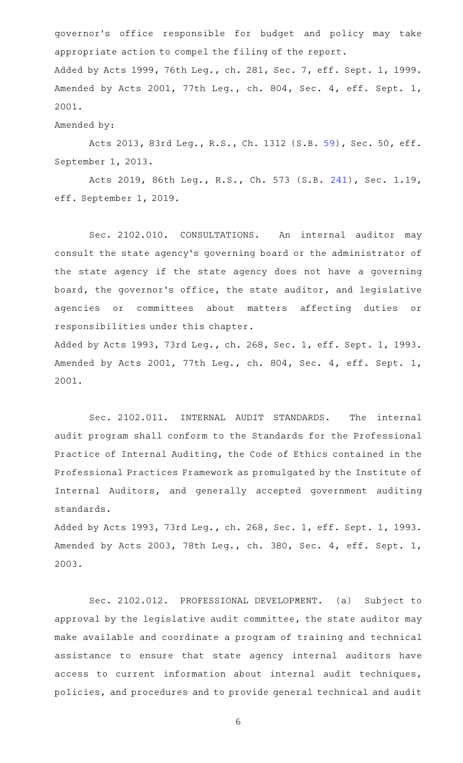governor 's office responsible for budget and policy may take appropriate action to compel the filing of the report. Added by Acts 1999, 76th Leg., ch. 281, Sec. 7, eff. Sept. 1, 1999. Amended by Acts 2001, 77th Leg., ch. 804, Sec. 4, eff. Sept. 1, 2001.

## Amended by:

Acts 2013, 83rd Leg., R.S., Ch. 1312 (S.B. [59\)](http://www.legis.state.tx.us/tlodocs/83R/billtext/html/SB00059F.HTM), Sec. 50, eff. September 1, 2013.

Acts 2019, 86th Leg., R.S., Ch. 573 (S.B. [241](http://www.legis.state.tx.us/tlodocs/86R/billtext/html/SB00241F.HTM)), Sec. 1.19, eff. September 1, 2019.

Sec. 2102.010. CONSULTATIONS. An internal auditor may consult the state agency 's governing board or the administrator of the state agency if the state agency does not have a governing board, the governor 's office, the state auditor, and legislative agencies or committees about matters affecting duties or responsibilities under this chapter.

Added by Acts 1993, 73rd Leg., ch. 268, Sec. 1, eff. Sept. 1, 1993. Amended by Acts 2001, 77th Leg., ch. 804, Sec. 4, eff. Sept. 1, 2001.

Sec. 2102.011. INTERNAL AUDIT STANDARDS. The internal audit program shall conform to the Standards for the Professional Practice of Internal Auditing, the Code of Ethics contained in the Professional Practices Framework as promulgated by the Institute of Internal Auditors, and generally accepted government auditing standards.

Added by Acts 1993, 73rd Leg., ch. 268, Sec. 1, eff. Sept. 1, 1993. Amended by Acts 2003, 78th Leg., ch. 380, Sec. 4, eff. Sept. 1, 2003.

Sec. 2102.012. PROFESSIONAL DEVELOPMENT. (a) Subject to approval by the legislative audit committee, the state auditor may make available and coordinate a program of training and technical assistance to ensure that state agency internal auditors have access to current information about internal audit techniques, policies, and procedures and to provide general technical and audit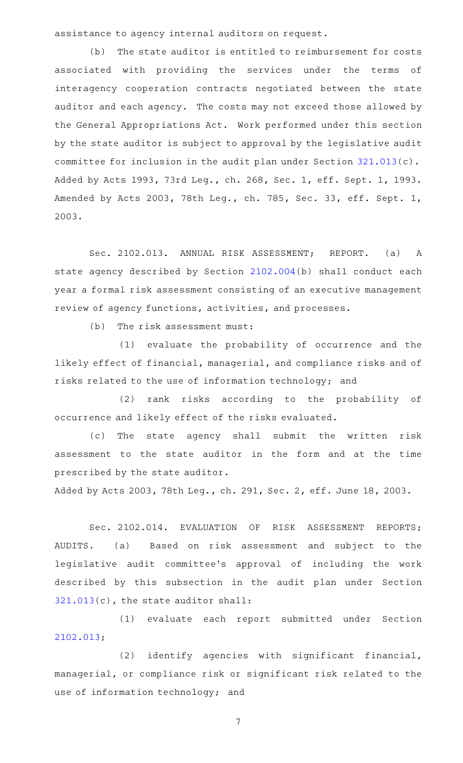assistance to agency internal auditors on request.

(b) The state auditor is entitled to reimbursement for costs associated with providing the services under the terms of interagency cooperation contracts negotiated between the state auditor and each agency. The costs may not exceed those allowed by the General Appropriations Act. Work performed under this section by the state auditor is subject to approval by the legislative audit committee for inclusion in the audit plan under Section [321.013\(](http://www.statutes.legis.state.tx.us/GetStatute.aspx?Code=GV&Value=321.013)c). Added by Acts 1993, 73rd Leg., ch. 268, Sec. 1, eff. Sept. 1, 1993. Amended by Acts 2003, 78th Leg., ch. 785, Sec. 33, eff. Sept. 1, 2003.

Sec. 2102.013. ANNUAL RISK ASSESSMENT; REPORT. (a) A state agency described by Section [2102.004\(](http://www.statutes.legis.state.tx.us/GetStatute.aspx?Code=GV&Value=2102.004)b) shall conduct each year a formal risk assessment consisting of an executive management review of agency functions, activities, and processes.

 $(b)$  The risk assessment must:

(1) evaluate the probability of occurrence and the likely effect of financial, managerial, and compliance risks and of risks related to the use of information technology; and

(2) rank risks according to the probability of occurrence and likely effect of the risks evaluated.

(c) The state agency shall submit the written risk assessment to the state auditor in the form and at the time prescribed by the state auditor.

Added by Acts 2003, 78th Leg., ch. 291, Sec. 2, eff. June 18, 2003.

Sec. 2102.014. EVALUATION OF RISK ASSESSMENT REPORTS; AUDITS. (a) Based on risk assessment and subject to the legislative audit committee 's approval of including the work described by this subsection in the audit plan under Section [321.013\(](http://www.statutes.legis.state.tx.us/GetStatute.aspx?Code=GV&Value=321.013)c), the state auditor shall:

(1) evaluate each report submitted under Section [2102.013](http://www.statutes.legis.state.tx.us/GetStatute.aspx?Code=GV&Value=2102.013);

 $(2)$  identify agencies with significant financial, managerial, or compliance risk or significant risk related to the use of information technology; and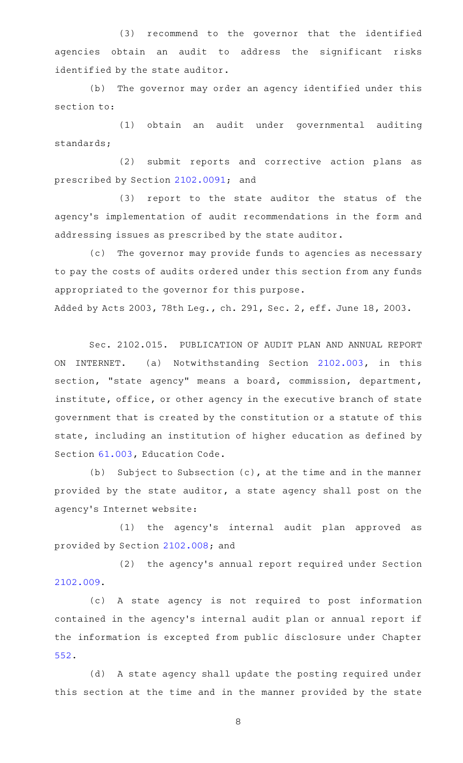(3) recommend to the governor that the identified agencies obtain an audit to address the significant risks identified by the state auditor.

(b) The governor may order an agency identified under this section to:

(1) obtain an audit under governmental auditing standards;

(2) submit reports and corrective action plans as prescribed by Section [2102.0091](http://www.statutes.legis.state.tx.us/GetStatute.aspx?Code=GV&Value=2102.0091); and

(3) report to the state auditor the status of the agency 's implementation of audit recommendations in the form and addressing issues as prescribed by the state auditor.

(c) The governor may provide funds to agencies as necessary to pay the costs of audits ordered under this section from any funds appropriated to the governor for this purpose.

Added by Acts 2003, 78th Leg., ch. 291, Sec. 2, eff. June 18, 2003.

Sec. 2102.015. PUBLICATION OF AUDIT PLAN AND ANNUAL REPORT ON INTERNET. (a) Notwithstanding Section [2102.003,](http://www.statutes.legis.state.tx.us/GetStatute.aspx?Code=GV&Value=2102.003) in this section, "state agency" means a board, commission, department, institute, office, or other agency in the executive branch of state government that is created by the constitution or a statute of this state, including an institution of higher education as defined by Section [61.003](http://www.statutes.legis.state.tx.us/GetStatute.aspx?Code=ED&Value=61.003), Education Code.

(b) Subject to Subsection  $(c)$ , at the time and in the manner provided by the state auditor, a state agency shall post on the agency 's Internet website:

(1) the agency's internal audit plan approved as provided by Section [2102.008;](http://www.statutes.legis.state.tx.us/GetStatute.aspx?Code=GV&Value=2102.008) and

(2) the agency's annual report required under Section [2102.009](http://www.statutes.legis.state.tx.us/GetStatute.aspx?Code=GV&Value=2102.009).

(c)AAA state agency is not required to post information contained in the agency 's internal audit plan or annual report if the information is excepted from public disclosure under Chapter [552.](http://www.statutes.legis.state.tx.us/GetStatute.aspx?Code=GV&Value=552)

(d) A state agency shall update the posting required under this section at the time and in the manner provided by the state